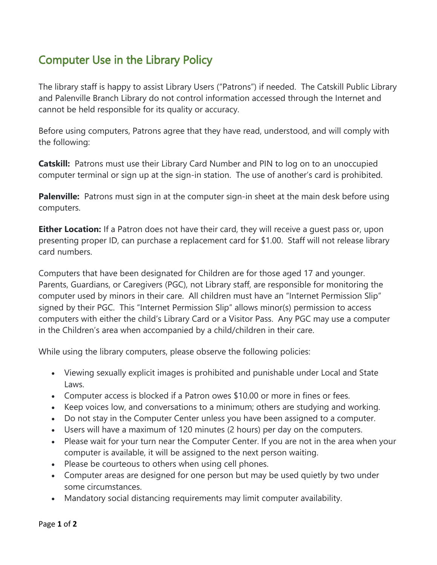## Computer Use in the Library Policy

The library staff is happy to assist Library Users ("Patrons") if needed. The Catskill Public Library and Palenville Branch Library do not control information accessed through the Internet and cannot be held responsible for its quality or accuracy.

Before using computers, Patrons agree that they have read, understood, and will comply with the following:

**Catskill:** Patrons must use their Library Card Number and PIN to log on to an unoccupied computer terminal or sign up at the sign-in station. The use of another's card is prohibited.

**Palenville:** Patrons must sign in at the computer sign-in sheet at the main desk before using computers.

**Either Location:** If a Patron does not have their card, they will receive a quest pass or, upon presenting proper ID, can purchase a replacement card for \$1.00. Staff will not release library card numbers.

Computers that have been designated for Children are for those aged 17 and younger. Parents, Guardians, or Caregivers (PGC), not Library staff, are responsible for monitoring the computer used by minors in their care. All children must have an "Internet Permission Slip" signed by their PGC. This "Internet Permission Slip" allows minor(s) permission to access computers with either the child's Library Card or a Visitor Pass. Any PGC may use a computer in the Children's area when accompanied by a child/children in their care.

While using the library computers, please observe the following policies:

- Viewing sexually explicit images is prohibited and punishable under Local and State Laws.
- Computer access is blocked if a Patron owes \$10.00 or more in fines or fees.
- Keep voices low, and conversations to a minimum; others are studying and working.
- Do not stay in the Computer Center unless you have been assigned to a computer.
- Users will have a maximum of 120 minutes (2 hours) per day on the computers.
- Please wait for your turn near the Computer Center. If you are not in the area when your computer is available, it will be assigned to the next person waiting.
- Please be courteous to others when using cell phones.
- Computer areas are designed for one person but may be used quietly by two under some circumstances.
- Mandatory social distancing requirements may limit computer availability.